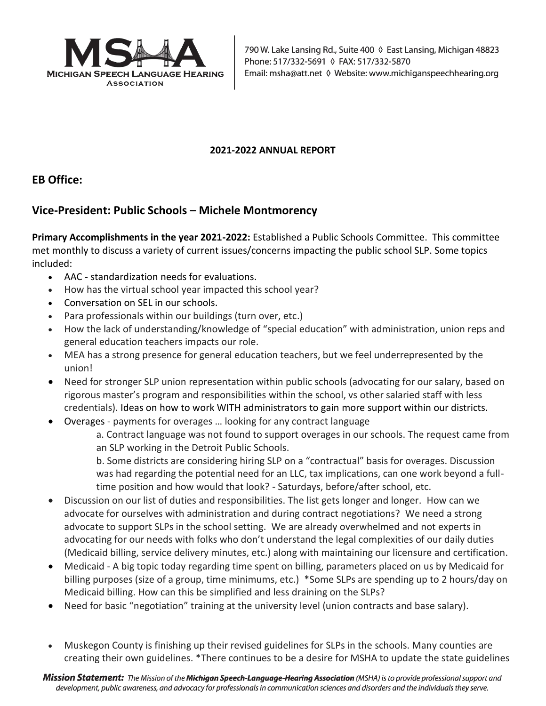

## **2021-2022 ANNUAL REPORT**

## **EB Office:**

## **Vice-President: Public Schools – Michele Montmorency**

**Primary Accomplishments in the year 2021-2022:** Established a Public Schools Committee. This committee met monthly to discuss a variety of current issues/concerns impacting the public school SLP. Some topics included:

- AAC standardization needs for evaluations.
- How has the virtual school year impacted this school year?
- Conversation on SEL in our schools.
- Para professionals within our buildings (turn over, etc.)
- How the lack of understanding/knowledge of "special education" with administration, union reps and general education teachers impacts our role.
- MEA has a strong presence for general education teachers, but we feel underrepresented by the union!
- Need for stronger SLP union representation within public schools (advocating for our salary, based on rigorous master's program and responsibilities within the school, vs other salaried staff with less credentials). Ideas on how to work WITH administrators to gain more support within our districts.
- Overages payments for overages … looking for any contract language

a. Contract language was not found to support overages in our schools. The request came from an SLP working in the Detroit Public Schools.

b. Some districts are considering hiring SLP on a "contractual" basis for overages. Discussion was had regarding the potential need for an LLC, tax implications, can one work beyond a fulltime position and how would that look? - Saturdays, before/after school, etc.

- Discussion on our list of duties and responsibilities. The list gets longer and longer. How can we advocate for ourselves with administration and during contract negotiations? We need a strong advocate to support SLPs in the school setting. We are already overwhelmed and not experts in advocating for our needs with folks who don't understand the legal complexities of our daily duties (Medicaid billing, service delivery minutes, etc.) along with maintaining our licensure and certification.
- Medicaid A big topic today regarding time spent on billing, parameters placed on us by Medicaid for billing purposes (size of a group, time minimums, etc.) \*Some SLPs are spending up to 2 hours/day on Medicaid billing. How can this be simplified and less draining on the SLPs?
- Need for basic "negotiation" training at the university level (union contracts and base salary).
- Muskegon County is finishing up their revised guidelines for SLPs in the schools. Many counties are creating their own guidelines. \*There continues to be a desire for MSHA to update the state guidelines